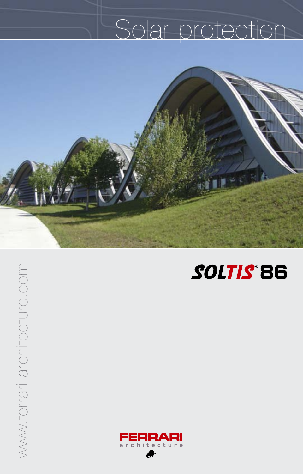# Solar protection





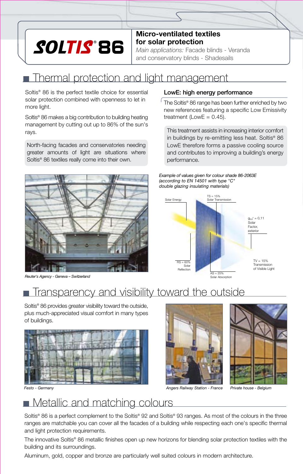# SOLTIS® 86

**Micro-ventilated textiles for solar protection**

*Main applications:* Facade blinds - Veranda and conservatory blinds - Shadesails

# **Thermal protection and light management**

Soltis® 86 is the perfect textile choice for essential solar protection combined with openness to let in more light.

Soltis® 86 makes a big contribution to building heating management by cutting out up to 86% of the sun's rays.

North-facing facades and conservatories needing greater amounts of light are situations where Soltis® 86 textiles really come into their own.



*Reuter's Agency - Geneva – Switzerland*

#### LowE: high energy performance

 $\int$  The Soltis® 86 range has been further enriched by two new references featuring a specific Low Emissivity treatment (LowE =  $0.45$ ).

This treatment assists in increasing interior comfort in buildings by re-emitting less heat. Soltis® 86 LowE therefore forms a passive cooling source and contributes to improving a building's energy performance.

*Example of values given for colour shade 86-2063E (according to EN 14501 with type "C" double glazing insulating materials)*



# Transparency and visibility toward the outside

Soltis® 86 provides greater visibility toward the outside, plus much-appreciated visual comfort in many types of buildings.







## **Netallic and matching colours**

Soltis® 86 is a perfect complement to the Soltis® 92 and Soltis® 93 ranges. As most of the colours in the three ranges are matchable you can cover all the facades of a building while respecting each one's specific thermal and light protection requirements.

The innovative Soltis® 86 metallic finishes open up new horizons for blending solar protection textiles with the building and its surroundings.

Aluminum, gold, copper and bronze are particularly well suited colours in modern architecture.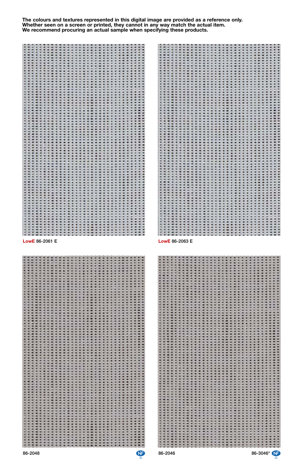

| LowE 86-2061 E<br>۰<br>$\ddot{\phantom{0}}$<br>33<br>20000<br>$\ddot{\phantom{a}}$<br>:::::<br>1.1111<br>¥<br>∷<br>$\overline{\phantom{a}}$<br>۰<br>٠<br>19322<br>▒<br>8888<br>₩<br>Ħ<br>w<br>$\ddot{\phantom{a}}$<br>▒<br>:::::<br>98<br>٥<br>đ<br>ă<br>H<br><b>SIGN</b><br>----------------<br>----------------<br>$\blacksquare$<br>$\frac{1}{2} \left( \frac{1}{2} \right) \frac{1}{2} \left( \frac{1}{2} \right) \frac{1}{2}$<br>₩<br>:::::::::::::<br>----<br>::::::::::::::::: | LowE 86-2063 E<br>NG 2<br>$\mathcal{F}(\mathbf{w})$<br>计文件文件文件 经预期的经营的 网络阿拉伯的 医肾上腺炎 计数据分析 医水杨酸 医水杨酸 医水杨酸盐 医水杨酸<br>5353<br>▒<br>u<br>ä<br><b>BEERE</b><br>W.<br>45.46<br>B<br>00000<br>н<br>92<br>۰<br>88<br>×<br>i<br>E<br>a<br>. .<br>٠<br>:::<br>$\mathbf{H}$<br>W<br>в<br>÷<br>88<br>F<br>÷<br>111<br>$\cdots$<br>$\bullet$<br>œ<br>▒<br>HE<br>ŧ<br>ă<br>::::<br>٥<br>S.<br>m<br>::::::<br>в<br>ŧ<br>٠<br>۰<br>:::::::<br>$\qquad \qquad \bullet$<br>E<br>۰ |
|---------------------------------------------------------------------------------------------------------------------------------------------------------------------------------------------------------------------------------------------------------------------------------------------------------------------------------------------------------------------------------------------------------------------------------------------------------------------------------------|----------------------------------------------------------------------------------------------------------------------------------------------------------------------------------------------------------------------------------------------------------------------------------------------------------------------------------------------------------------------------------------------------------------------------------------------------------------|

86-2048 86-2046 86-3046\*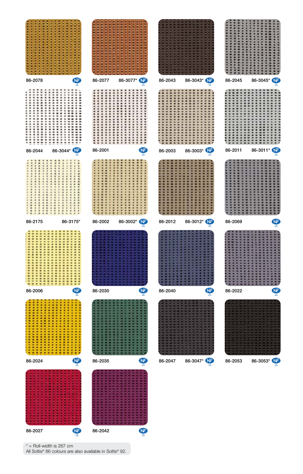

 $*$  = Roll-width is 267 cm

All Soltis® 86 colours are also available in Soltis® 92.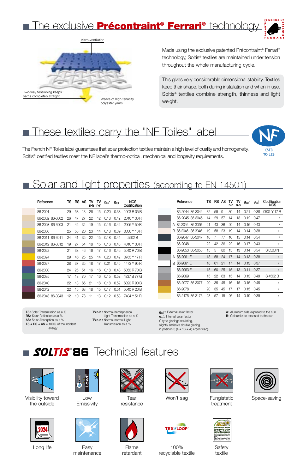



Made using the exclusive patented Précontraint<sup>®</sup> Ferrari<sup>®</sup> technology, Soltis® textiles are maintained under tension throughout the whole manufacturing cycle.

This gives very considerable dimensional stability. Textiles keep their shape, both during installation and when in use. Soltis® textiles combine strength, thinness and light weight.

### These textiles carry the "NF Toiles" label

The French NF Toiles label guarantees that solar protection textiles maintain a high level of quality and homogeneity. Soltis® certified textiles meet the NF label's thermo-optical, mechanical and longevity requirements.



### Solar and light properties (according to EN 14501)

| Reference       | TS |    | RS AS | TV<br>n-h | TV<br>n-n | $g_{\text{tot}}$ <sup>e</sup> | $g_{\text{tot}}$ | <b>NCS</b><br>Codification |
|-----------------|----|----|-------|-----------|-----------|-------------------------------|------------------|----------------------------|
| 86-2001         | 29 | 58 | 13    | 26        | 15        | 0.20                          | 0.38             | 1003 R 05 B                |
| 86-2002 86-3002 | 26 | 47 | 27    | 22        | 12        | 0.18                          | 0.42             | 2010 Y 30 R                |
| 86-2003 86-3003 | 21 | 45 | 34    | 19        | 15        | 0.16                          | 0.42             | 2005 Y 50 R                |
| 86-2006         | 25 | 55 | 20    | 23        | 14        | 0.18                          | 0.39             | 0030 Y 10 R                |
| 86-2011 86-3011 | 24 | 41 | 35    | 22        | 15        | 0.18                          | 0.44             | 2502 <sub>B</sub>          |
| 86-2012 86-3012 | 19 | 27 | 54    | 18        | 15        | 0.16                          | 0.48             | 4010 Y 30 R                |
| 86-2022         | 21 | 33 | 46    | 16        | 17        | 0.16                          | 0.46             | 5010 R 70 B                |
| 86-2024         | 29 | 46 | 25    | 25        | 14        | 0.20                          | 0.42             | 0765 Y 17 R                |
| 86-2027         | 28 | 37 | 35    | 18        | 17        | 0.21                          | 0.45             | 1473 Y 95 R                |
| 86-2030         | 24 | 25 | 51    | 16        | 16        | 0.18                          | 0.48             | 5050 R 70 B                |
| 86-2035         | 17 | 13 | 70    | 17        | 16        | 0.15                          | 0.52             | 4837 B 77 G                |
| 86-2040         | 22 | 13 | 65    | 21        | 18        | 0.18                          | 0.52             | 6020 R 90 B                |
| 86-2042         | 22 | 15 | 63    | 18        | 15        | 0.17                          | 0.51             | 5040 R 20 B                |
| 86-2043 86-3043 | 12 | 10 | 78    | 11        | 13        | 0.12                          | 0.53             | 7404 Y 51 R                |

Reference TS RS AS TV TV  $g_{tot}^e$ <br>n-h n-n  $q_{\text{tot}}$ Codification<br>NCS 86-2044 86-3044 32 59 9 30 14 0.21 0.38 0501 Y 17 R 86-2045 86-3045 14 29 57 14 13 0.12 0.47 / 86-2046 86-3046 21 43 36 20 14 0.16 0.43 / A 86-2046 86-3046 19 58 23 19 14 0.14 0.38 / B 86-2047 86-3047 16 7 77 16 15 0.14 0.54 / 86-2048 22 42 36 22 16 0.17 0.43 / 86-2053 86-3053 15 5 80 15 13 0.14 0.54 S 8500 N 18 58 24 17 14 0.13 0.38 / 86-2061 E 18 61 21 17 14 0.13 0.37 / B 86-2063 E 15 60 25 15 13 0.11 0.37 / 86-2069 15 22 63 15 14 0.13 0.49 S 4502 B 86-2077 86-3077 20 35 45 16 15 0.15 0.45 / 86-2078 20 35 45 17 17 0.15 0.45 / 86-2175 86-3175 28 57 15 26 14 0.19 0.39 / A 86-2061 F

TS: Solar Transmission as a % RS: Solar Reflection as a % AS: Solar Absorption as a % TS + RS + AS =  $100\%$  of the incident energy

TVn-h : Normal-hemispherical Light Transmission as a % TVn-n : Normal-normal Light Transmission as a %

g<sub>tot</sub>e : External solar factor g<sub>tot</sub>: Internal solar factor C type glazing: insulating, slightly emissive double glazing in position 3 (4 + 16 + 4; Argon filled). A: Aluminum side exposed to the sun B: Colored side exposed to the sun

## **SOLTIS B6** Technical features



Visibility toward the outside





Low **Emissivity** 



Long life **Flame** Easy **Flame** Easy maintenance



**Tear** resistance



retardant





100% recyclable textile



**Fungistatic** treatment





Won't sag **Supple Eungistatic** Space-saving